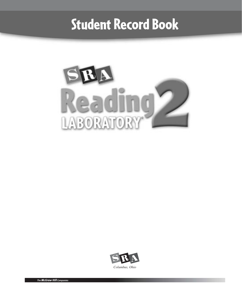# Student Record Book



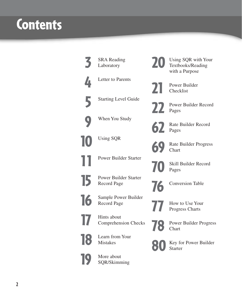# **Contents**



- 20 Using SQR with Your Textbooks/Reading with a Purpose
- 21 Power Builder Checklist
- 22 Power Builder Record Pages
- **62** Rate Builder Record Pages
- **69** Rate Builder Progress Chart
- **70** Skill Builder Record Pages
- 
- **76** Conversion Table
- 77 How to Use Your Progress Charts
	- **Chart** 
		- Power Builder Progress



Key for Power Builder **Starter**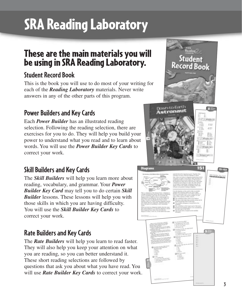# SRA Reading Laboratory

### These are the main materials you will be using in SRA Reading Laboratory.

#### **Student Record Book**

This is the book you will use to do most of your writing for each of the *Reading Laboratory* materials. Never write answers in any of the other parts of this program.

#### **Power Builders and Key Cards**

Each *Power Builder* has an illustrated reading selection. Following the reading selection, there are exercises for you to do. They will help you build your power to understand what you read and to learn about words. You will use the *Power Builder Key Cards* to correct your work.

### **Skill Builders and Key Cards**

The *Skill Builders* will help you learn more about reading, vocabulary, and grammar. Your *Power Builder Key Card* may tell you to do certain *Skill Builder* lessons. These lessons will help you with those skills in which you are having difficulty. You will use the *Skill Builder Key Cards* to correct your work.

#### **Rate Builders and Key Cards**

The *Rate Builders* will help you learn to read faster. They will also help you keep your attention on what you are reading, so you can better understand it. These short reading selections are followed by questions that ask you about what you have read. You will use *Rate Builder Key Cards* to correct your work.

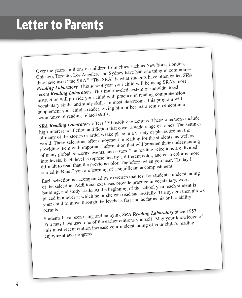Over the years, millions of children from cities such as New York, London, Chicago, Toronto, Los Angeles, and Sydney have had one thing in common they have used "the SRA." "The SRA" is what students have often called *SRA Reading Laboratory.* This school year your child will be using SRA's most recent *Reading Laboratory.* This multileveled system of individualized instruction will provide your child with practice in reading comprehension, vocabulary skills, and study skills. In most classrooms, this program will supplement your child's reader, giving him or her extra reinforcement in a wide range of reading-related skills.

*SRA Reading Laboratory* offers 150 reading selections. These selections include high-interest nonfiction and fiction that cover a wide range of topics. The settings of many of the stories or articles take place in a variety of places around the world. These selections offer enjoyment in reading for the students, as well as providing them with important information that will broaden their understanding of many global concerns, events, and issues. The reading selections are divided into levels. Each level is represented by a different color, and each color is more difficult to read than the previous color. Therefore, when you hear, "Today I started in Blue!" you are learning of a significant accomplishment.

Each selection is accompanied by exercises that test for students' understanding of the selection. Additional exercises provide practice in vocabulary, word building, and study skills. At the beginning of the school year, each student is placed in a level at which he or she can read successfully. The system then allows your child to move through the levels as fast and as far as his or her ability permits.

permits.<br>Students have been using and enjoying **SRA Reading Laboratory** since 1957. You may have used one of the earlier editions yourself! May your knowledge of this most recent edition increase your understanding of your child's reading enjoyment and progress.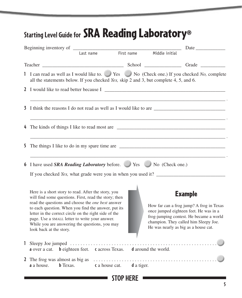# **Starting Level Guide for** SRA Reading Laboratory®

|              |                                                                                                                                                                                                                                                                                                                                                                                                                  | Last name      | $F$ First name   |            | Middle initial                       |                                                                                                                                                                                          |
|--------------|------------------------------------------------------------------------------------------------------------------------------------------------------------------------------------------------------------------------------------------------------------------------------------------------------------------------------------------------------------------------------------------------------------------|----------------|------------------|------------|--------------------------------------|------------------------------------------------------------------------------------------------------------------------------------------------------------------------------------------|
|              |                                                                                                                                                                                                                                                                                                                                                                                                                  |                |                  |            |                                      |                                                                                                                                                                                          |
|              | 1 I can read as well as I would like to. No (Check one.) If you checked No, complete<br>all the statements below. If you checked <i>Yes</i> , skip 2 and 3, but complete 4, 5, and 6.                                                                                                                                                                                                                            |                |                  |            |                                      |                                                                                                                                                                                          |
| $\mathbf{Z}$ |                                                                                                                                                                                                                                                                                                                                                                                                                  |                |                  |            |                                      |                                                                                                                                                                                          |
| 3            |                                                                                                                                                                                                                                                                                                                                                                                                                  |                |                  |            |                                      |                                                                                                                                                                                          |
| 4            |                                                                                                                                                                                                                                                                                                                                                                                                                  |                |                  |            |                                      |                                                                                                                                                                                          |
| 5            |                                                                                                                                                                                                                                                                                                                                                                                                                  |                |                  |            |                                      |                                                                                                                                                                                          |
|              | 6 I have used SRA Reading Laboratory before. Nes No (Check one.)                                                                                                                                                                                                                                                                                                                                                 |                |                  |            |                                      |                                                                                                                                                                                          |
|              | If you checked Yes, what grade were you in when you used it?                                                                                                                                                                                                                                                                                                                                                     |                |                  |            |                                      |                                                                                                                                                                                          |
|              | Here is a short story to read. After the story, you<br>will find some questions. First, read the story; then<br>read the questions and choose the one best answer<br>to each question. When you find the answer, put its<br>letter in the correct circle on the right side of the<br>page. Use a SMALL letter to write your answer.<br>While you are answering the questions, you may<br>look back at the story. |                |                  |            | He was nearly as big as a house cat. | <b>Example</b><br>How far can a frog jump? A frog in Texas<br>once jumped eighteen feet. He was in a<br>frog-jumping contest. He became a world<br>champion. They called him Sleepy Joe. |
|              | <b>a</b> over a cat. <b>b</b> eighteen feet.                                                                                                                                                                                                                                                                                                                                                                     |                | c across Texas.  |            | d around the world.                  |                                                                                                                                                                                          |
|              | 2 The frog was almost as big as<br>a a house.<br><b>b</b> Texas.                                                                                                                                                                                                                                                                                                                                                 | c a house cat. |                  | d a tiger. |                                      |                                                                                                                                                                                          |
|              |                                                                                                                                                                                                                                                                                                                                                                                                                  |                | <b>STOP HERE</b> |            |                                      |                                                                                                                                                                                          |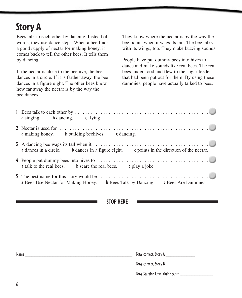# Story A

Bees talk to each other by dancing. Instead of words, they use dance steps. When a bee finds a good supply of nectar for making honey, it comes back to tell the other bees. It tells them by dancing.

If the nectar is close to the beehive, the bee dances in a circle. If it is farther away, the bee dances in a figure eight. The other bees know how far away the nectar is by the way the bee dances.

They know where the nectar is by the way the bee points when it wags its tail. The bee talks with its wings, too. They make buzzing sounds.

People have put dummy bees into hives to dance and make sounds like real bees. The real bees understood and flew to the sugar feeder that had been put out for them. By using these dummies, people have actually talked to bees.

| <b>a</b> singing. <b>b</b> dancing. <b>c</b> flying.                                                            |
|-----------------------------------------------------------------------------------------------------------------|
| <b>a</b> making honey. <b>b</b> building beenives. <b>c</b> dancing.                                            |
| <b>a</b> dances in a circle. <b>b</b> dances in a figure eight. <b>c</b> points in the direction of the nectar. |
| <b>a</b> talk to the real bees. <b>b</b> scare the real bees. <b>c</b> play a joke.                             |
| <b>a</b> Bees Use Nectar for Making Honey. <b>b</b> Bees Talk by Dancing. <b>c</b> Bees Are Dummies.            |

#### **STOP HERE**

| <b>Name</b> | Total correct, Story A |
|-------------|------------------------|
|             | Total correct, Story B |

Total Starting Level Guide score \_\_\_\_\_\_\_\_\_\_\_\_\_\_\_\_\_\_\_\_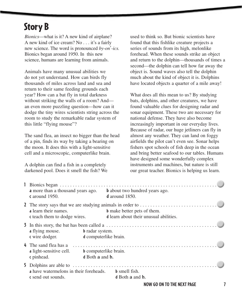### Story B

*Bionics*—what is it? A new kind of airplane? A new kind of ice cream? No . . . it's a fairly new science. The word is pronounced *by-on*´*-ics.* Bionics began around 1950. In this new science, humans are learning from animals.

Animals have many unusual abilities we do not yet understand. How can birds fly thousands of miles across land and sea and return to their same feeding grounds each year? How can a bat fly in total darkness without striking the walls of a room? And an even more puzzling question—how can it dodge the tiny wires scientists string across the room to study the remarkable radar system of this little "flying mouse"?

The sand flea, an insect no bigger than the head of a pin, finds its way by taking a bearing on the moon. It does this with a light-sensitive cell and a microscopic, computerlike brain.

A dolphin can find a fish in a completely darkened pool. Does it smell the fish? We used to think so. But bionic scientists have found that this fishlike creature projects a series of sounds from its high, melonlike forehead. When these sounds strike an object and return to the dolphin—thousands of times a second—the dolphin can tell how far away the object is. Sound waves also tell the dolphin much about the kind of object it is. Dolphins have located objects a quarter of a mile away!

What does all this mean to us? By studying bats, dolphins, and other creatures, we have found valuable clues for designing radar and sonar equipment. These two are necessary for national defense. They have also become increasingly important in our everyday lives. Because of radar, our huge jetliners can fly in almost any weather. They can land on foggy airfields the pilot can't even see. Sonar helps fishers spot schools of fish deep in the ocean and bring better seafood to our tables. Humans have designed some wonderfully complex instruments and machines, but nature is still our great teacher. Bionics is helping us learn.

|    |                                                                                          |                                                 | <b>a</b> more than a thousand years ago. <b>b</b> about two hundred years ago.                                                                                                                                                 |
|----|------------------------------------------------------------------------------------------|-------------------------------------------------|--------------------------------------------------------------------------------------------------------------------------------------------------------------------------------------------------------------------------------|
|    | $\epsilon$ around 1950.                                                                  |                                                 | $d$ around 1850.                                                                                                                                                                                                               |
|    | a learn their names.                                                                     |                                                 | 2 The story says that we are studying animals in order to $\dots \dots \dots \dots \dots \dots \dots \dots \dots$<br><b>b</b> make better pets of them.<br>c teach them to dodge wires. d learn about their unusual abilities. |
|    | a flying mouse.<br>c wire dodger.                                                        | <b>b</b> radar system.<br>d computerlike brain. |                                                                                                                                                                                                                                |
|    | <b>a</b> light-sensitive cell. <b>b</b> computerlike brain.<br>c pinhead.                | <b>d</b> Both a and <b>b</b> .                  |                                                                                                                                                                                                                                |
| 5. | <b>a</b> have watermelons in their foreheads. <b>b</b> smell fish.<br>c send out sounds. |                                                 | <b>d</b> Both <b>a</b> and <b>b</b> .                                                                                                                                                                                          |
|    |                                                                                          |                                                 |                                                                                                                                                                                                                                |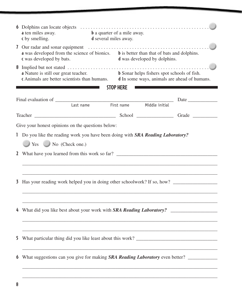|    | <b>b</b> a quarter of a mile away.<br>a ten miles away.<br>c by smelling.<br><b>d</b> several miles away.                                                                                                                      |  |                  |                                                    |                                                     |
|----|--------------------------------------------------------------------------------------------------------------------------------------------------------------------------------------------------------------------------------|--|------------------|----------------------------------------------------|-----------------------------------------------------|
|    |                                                                                                                                                                                                                                |  |                  |                                                    |                                                     |
|    | <b>a</b> was developed from the science of bionics. <b>b</b> is better than that of bats and dolphins.<br>c was developed by bats.                                                                                             |  |                  | <b>d</b> was developed by dolphins.                |                                                     |
|    | a Nature is still our great teacher.<br><b>c</b> Animals are better scientists than humans.                                                                                                                                    |  |                  | <b>b</b> Sonar helps fishers spot schools of fish. | <b>d</b> In some ways, animals are ahead of humans. |
|    |                                                                                                                                                                                                                                |  | <b>STOP HERE</b> |                                                    |                                                     |
|    |                                                                                                                                                                                                                                |  |                  |                                                    |                                                     |
|    |                                                                                                                                                                                                                                |  |                  |                                                    |                                                     |
|    | Teacher Carried Contact Contact Contact Contact Contact Contact Contact Contact Contact Contact Contact Contact Contact Contact Contact Contact Contact Contact Contact Contact Contact Contact Contact Contact Contact Contac |  |                  |                                                    |                                                     |
|    | Give your honest opinions on the questions below:                                                                                                                                                                              |  |                  |                                                    |                                                     |
|    | 1 Do you like the reading work you have been doing with <b>SRA Reading Laboratory?</b>                                                                                                                                         |  |                  |                                                    |                                                     |
|    | Yes No (Check one.)                                                                                                                                                                                                            |  |                  |                                                    |                                                     |
|    | 2 What have you learned from this work so far?                                                                                                                                                                                 |  |                  |                                                    |                                                     |
|    |                                                                                                                                                                                                                                |  |                  |                                                    |                                                     |
|    |                                                                                                                                                                                                                                |  |                  |                                                    |                                                     |
| 3. | Has your reading work helped you in doing other schoolwork? If so, how?                                                                                                                                                        |  |                  |                                                    |                                                     |
|    |                                                                                                                                                                                                                                |  |                  |                                                    |                                                     |
|    |                                                                                                                                                                                                                                |  |                  |                                                    |                                                     |
| 4  | What did you like best about your work with <b>SRA Reading Laboratory?</b>                                                                                                                                                     |  |                  |                                                    |                                                     |
|    |                                                                                                                                                                                                                                |  |                  |                                                    |                                                     |
|    |                                                                                                                                                                                                                                |  |                  |                                                    |                                                     |
|    |                                                                                                                                                                                                                                |  |                  |                                                    |                                                     |
| 5  | What particular thing did you like least about this work?                                                                                                                                                                      |  |                  |                                                    |                                                     |
|    |                                                                                                                                                                                                                                |  |                  |                                                    |                                                     |
| 6  | What suggestions can you give for making <b>SRA Reading Laboratory</b> even better?                                                                                                                                            |  |                  |                                                    |                                                     |
|    |                                                                                                                                                                                                                                |  |                  |                                                    |                                                     |

 $\_$  ,  $\_$  ,  $\_$  ,  $\_$  ,  $\_$  ,  $\_$  ,  $\_$  ,  $\_$  ,  $\_$  ,  $\_$  ,  $\_$  ,  $\_$  ,  $\_$  ,  $\_$  ,  $\_$  ,  $\_$  ,  $\_$  ,  $\_$  ,  $\_$  ,  $\_$  ,  $\_$  ,  $\_$  ,  $\_$  ,  $\_$  ,  $\_$  ,  $\_$  ,  $\_$  ,  $\_$  ,  $\_$  ,  $\_$  ,  $\_$  ,  $\_$  ,  $\_$  ,  $\_$  ,  $\_$  ,  $\_$  ,  $\_$  ,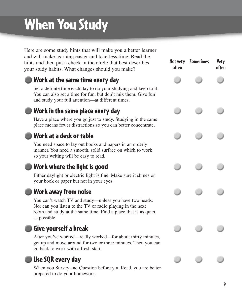# When You Study

Here are some study hints that will make you a better learner and will make learning easier and take less time. Read the hints and then put a check in the circle that best describes your study habits. What changes should you make?

### Work at the same time every day

Set a definite time each day to do your studying and keep to it. You can also set a time for fun, but don't mix them. Give fun and study your full attention—at different times.

#### Work in the same place every day

Have a place where you go just to study. Studying in the same place means fewer distractions so you can better concentrate.

#### Work at a desk or table

You need space to lay out books and papers in an orderly manner. You need a smooth, solid surface on which to work so your writing will be easy to read.

#### Work where the light is good

Either daylight or electric light is fine. Make sure it shines on your book or paper but not in your eyes.

#### Work away from noise

You can't watch TV and study—unless you have two heads. Nor can you listen to the TV or radio playing in the next room and study at the same time. Find a place that is as quiet as possible.

#### Give yourself a break

After you've worked—really worked—for about thirty minutes, get up and move around for two or three minutes. Then you can go back to work with a fresh start.

#### Use SQR every day

When you Survey and Question before you Read, you are better prepared to do your homework.

**Not very Sometimes Very often often**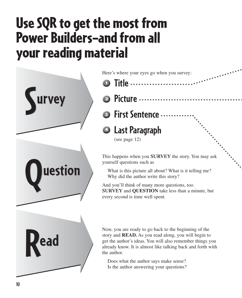# Use SQR to get the most from Power Builders–and from all your reading material



Here's where your eyes go when you survey:

**Picture** ……

# **First Sentence**

**Title**

# **Last Paragraph**

(see page 12)

This happens when you **SURVEY** the story. You may ask yourself questions such as

What is this picture all about? What is it telling me? Why did the author write this story?

And you'll think of many more questions, too. **SURVEY** and **QUESTION** take less than a minute, but every second is time well spent.

Now, you are ready to go back to the beginning of the story and **READ.** As you read along, you will begin to get the author's ideas. You will also remember things you already know. It is almost like talking back and forth with the author.

Does what the author says make sense? Is the author answering your questions?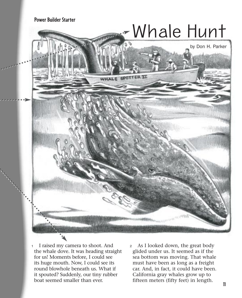**Power Builder Starter**

# Whale Hunt



<sup>1</sup> I raised my camera to shoot. And the whale dove. It was heading straight for us! Moments before, I could see its huge mouth. Now, I could see its round blowhole beneath us. What if it spouted? Suddenly, our tiny rubber boat seemed smaller than ever.

<sup>2</sup> As I looked down, the great body glided under us. It seemed as if the sea bottom was moving. That whale must have been as long as a freight car. And, in fact, it could have been. California gray whales grow up to fifteen meters (fifty feet) in length.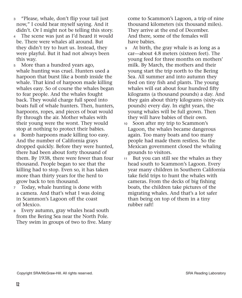- <sup>3</sup> "Please, whale, don't flip your tail just now," I could hear myself saying. And it didn't. Or I might not be telling this story.
- <sup>4</sup> The scene was just as I'd heard it would be. There were whales all around. But they didn't try to hurt us. Instead, they were playful. But it had not always been this way.
- <sup>5</sup> More than a hundred years ago, whale hunting was cruel. Hunters used a harpoon that burst like a bomb inside the whale. That kind of harpoon made killing whales easy. So of course the whales began to fear people. And the whales fought back. They would charge full speed into boats full of whale hunters. Then, hunters, harpoons, ropes, and pieces of boat would fly through the air. Mother whales with their young were the worst. They would stop at nothing to protect their babies.
- <sup>6</sup> Bomb harpoons made killing too easy. And the number of California grays dropped quickly. Before they were hunted, there had been about forty thousand of them. By 1938, there were fewer than four thousand. People began to see that the killing had to stop. Even so, it has taken more than thirty years for the herd to grow back to ten thousand.
- <sup>7</sup> Today, whale hunting is done with a camera. And that's what I was doing in Scammon's Lagoon off the coast of Mexico.
- <sup>8</sup> Every autumn, gray whales head south from the Bering Sea near the North Pole. They swim in groups of two to five. Many

come to Scammon's Lagoon, a trip of nine thousand kilometers (six thousand miles). They arrive at the end of December. And there, some of the females will have babies.

- <sup>9</sup> At birth, the gray whale is as long as a car—about 4.8 meters (sixteen feet). The young feed for three months on mothers' milk. By March, the mothers and their young start the trip north to the Bering Sea. All summer and into autumn they feed on tiny fish and plants. The young whales will eat about four hundred fifty kilograms (a thousand pounds) a day. And they gain about thirty kilograms (sixty-six pounds) every day. In eight years, the young whales will be full grown. Then they will have babies of their own.
- <sup>10</sup> Soon after my trip to Scammon's Lagoon, the whales became dangerous again. Too many boats and too many people had made them restless. So the Mexican government closed the whaling grounds to visitors.
- <sup>11</sup> But you can still see the whales as they head south to Scammon's Lagoon. Every year many children in Southern California take field trips to hunt the whales with cameras. From the decks of big fishing boats, the children take pictures of the migrating whales. And that's a lot safer than being on top of them in a tiny rubber raft!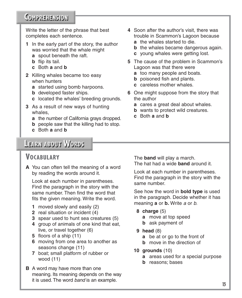### Сомравиватом

Write the letter of the phrase that best completes each sentence.

- **1** In the early part of the story, the author was worried that the whale might
	- **a** spout beneath the raft.
	- **b** flip its tail.
	- **c** Both **a** and **b**
- **2** Killing whales became too easy when hunters
	- **a** started using bomb harpoons.
	- **b** developed faster ships.
	- **c** located the whales' breeding grounds.
- **3** As a result of new ways of hunting whales,
	- **a** the number of California grays dropped.
	- **b** people saw that the killing had to stop.
	- **c** Both **a** and **b**

### LEARN ABOUT WORDS

#### VOCABULARY

**A** You can often tell the meaning of a word by reading the words around it.

Look at each number in parentheses. Find the paragraph in the story with the same number. Then find the word that fits the given meaning. Write the word.

- **1** moved slowly and easily (2)
- **2** real situation or incident (4)
- **3** spear used to hunt sea creatures (5)
- **4** group of animals of one kind that eat, live, or travel together (6)
- **5** floors of a ship (11)
- **6** moving from one area to another as seasons change (11)
- **7** boat; small platform of rubber or wood (11)
- **B** A word may have more than one meaning. Its meaning depends on the way it is used. The word *band* is an example.
- **4** Soon after the author's visit, there was trouble in Scammon's Lagoon because
	- **a** the whales started to die.
	- **b** the whales became dangerous again.
	- **c** young whales were getting lost.
- **5** The cause of the problem in Scammon's Lagoon was that there were
	- **a** too many people and boats.
	- **b** poisoned fish and plants.
	- **c** careless mother whales.
- **6** One might suppose from the story that the author
	- **a** cares a great deal about whales.
	- **b** wants to protect wild creatures.
	- **c** Both **a** and **b**

The **band** will play a march. The hat had a wide **band** around it.

Look at each number in parentheses. Find the paragraph in the story with the same number.

See how the word in **bold type** is used in the paragraph. Decide whether it has meaning **a** or **b.** Write *a* or *b.*

- **8 charge** (5)
	- **a** move at top speed
	- **b** ask payment of
- **9 head** (8)
	- **a** be at or go to the front of
	- **b** move in the direction of
- **10 grounds** (10)
	- **a** areas used for a special purpose
	- **b** reasons; bases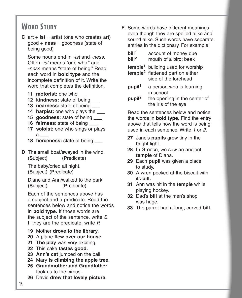### WORD STIIDY

**C** art  $+$  **ist** = artist (one who creates art) good + **ness** = goodness (state of being good)

Some nouns end in *-ist* and *-ness.* Often *-ist* means "one who," and *-ness* means "state of being." Read each word in **bold type** and the incomplete definition of it. Write the word that completes the definition.

- **11 motorist:** one who
- **12 kindness:** state of being \_\_\_
- **13 nearness:** state of being \_\_\_
- **14 harpist:** one who plays the
- **15 goodness:** state of being \_\_\_
- **16 fairness:** state of being
- **17 soloist:** one who sings or plays  $a \quad \lnot$
- **18 fierceness:** state of being
- **D** The small boat/swayed in the wind. (**S**ubject) (**P**redicate)

The baby/cried all night. (**S**ubject) (**P**redicate)

Diane and Ann/walked to the park. (**S**ubject) (**P**redicate)

Each of the sentences above has a subject and a predicate. Read the sentences below and notice the words in **bold type.** If those words are the subject of the sentence, write *S.* If they are the predicate, write *P.*

- **19** Mother **drove to the library.**
- **20** A plane **flew over our house.**
- **21 The play** was very exciting.
- **22** This cake **tastes good.**
- **23 Ann's cat** jumped on the ball.
- **24** Mary **is climbing the apple tree.**
- **25 Grandmother and Grandfather** took us to the circus.
- **26** David **drew that lovely picture.**
- **E** Some words have different meanings even though they are spelled alike and sound alike. Such words have separate entries in the dictionary. For example:
	- **bill<sup>1</sup>** account of money due<br>**bill<sup>2</sup>** mouth of a bird: beak mouth of a bird; beak

**temple<sup>1</sup>** building used for worship **temple<sup>2</sup>** flattened part on either side of the forehead

- **pupil<sup>1</sup>** a person who is learning in school
- **pupil<sup>2</sup>** the opening in the center of the iris of the eye

Read the sentences below and notice the words in **bold type.** Find the entry above that tells how the word is being used in each sentence. Write *1* or *2.*

- **27** Jane's **pupils** grew tiny in the bright light.
- **28** In Greece, we saw an ancient **temple** of Diana.
- **29** Each **pupil** was given a place to study.
- **30** A wren pecked at the biscuit with its **bill.**
- **31** Ann was hit in the **temple** while playing hockey.
- **32** Dad's **bill** at the men's shop was huge.
- **33** The parrot had a long, curved **bill.**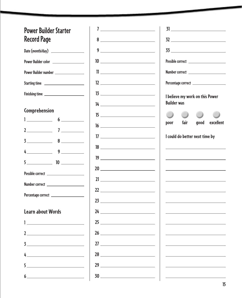### **Po wer Builder Starter Record Page**

- Date (month/day) <u>\_\_\_\_\_\_\_\_\_\_\_\_\_\_\_\_</u> **Po wer Builder color**
- **Po wer Builder number Starting time**
- **Finishing time Comprehension**

| 1<br>$\frac{1}{2}$ and $\frac{1}{2}$ and $\frac{1}{2}$ |  | $6 \underline{\hspace{1cm}}$  |
|--------------------------------------------------------|--|-------------------------------|
| $2 \overline{\phantom{a} \phantom{a} \phantom{a}}$     |  | $7 \underline{\hspace{1cm}}$  |
|                                                        |  | $8 \underline{\hspace{1cm}}$  |
| $4 \overline{\phantom{1}}$                             |  | $9 \overline{\qquad \qquad }$ |
| $5$ 0 $-$ 10 $-$                                       |  |                               |
|                                                        |  |                               |
|                                                        |  |                               |
|                                                        |  |                               |
| Learn about Words                                      |  |                               |
|                                                        |  |                               |

| <u>1 _____________________</u> |  |  |
|--------------------------------|--|--|
| $2 \overline{\phantom{a}}$     |  |  |
|                                |  |  |
| $4 \overline{\phantom{a}}$     |  |  |
|                                |  |  |
| $6 \underline{\hspace{1cm}}$   |  |  |

| $8 \underline{\hspace{1cm}}$   |
|--------------------------------|
| $9 \underline{\hspace{1.5cm}}$ |
| $10$ $\qquad \qquad$           |
| $\mathbb{I}$                   |
| $\frac{12}{2}$                 |
|                                |
|                                |
|                                |
|                                |
| $\frac{17}{2}$                 |
|                                |
|                                |
|                                |
|                                |
| 22                             |
|                                |
|                                |
| 25                             |
|                                |
|                                |
|                                |
| $29 \overline{\qquad \qquad }$ |
| $30$                           |

|                    |      | $31$ $\overline{\phantom{a}}$   |                                                                                                                                                                                                                                                                                                                                                                                                                                                                                                                                                                                                           |
|--------------------|------|---------------------------------|-----------------------------------------------------------------------------------------------------------------------------------------------------------------------------------------------------------------------------------------------------------------------------------------------------------------------------------------------------------------------------------------------------------------------------------------------------------------------------------------------------------------------------------------------------------------------------------------------------------|
|                    |      |                                 | $32$ $\overline{\phantom{a}}$                                                                                                                                                                                                                                                                                                                                                                                                                                                                                                                                                                             |
|                    |      |                                 | $\begin{array}{c}\n 33 \quad \textcolor{red}{\overline{\qquad \qquad }} \textcolor{red}{\overline{\qquad \qquad }} \textcolor{red}{\overline{\qquad \qquad }} \textcolor{red}{\overline{\qquad \qquad }} \textcolor{red}{\overline{\qquad \qquad }} \textcolor{red}{\overline{\qquad \qquad }} \textcolor{red}{\overline{\qquad \qquad }} \textcolor{red}{\overline{\qquad \qquad }} \textcolor{red}{\overline{\qquad \qquad }} \textcolor{red}{\overline{\qquad \qquad }} \textcolor{red}{\overline{\qquad \qquad }} \textcolor{red}{\overline{\qquad \qquad }} \textcolor{red}{\overline{\qquad \qquad$ |
|                    |      |                                 |                                                                                                                                                                                                                                                                                                                                                                                                                                                                                                                                                                                                           |
|                    |      |                                 |                                                                                                                                                                                                                                                                                                                                                                                                                                                                                                                                                                                                           |
|                    |      |                                 |                                                                                                                                                                                                                                                                                                                                                                                                                                                                                                                                                                                                           |
| <b>Builder was</b> |      | I believe my work on this Power |                                                                                                                                                                                                                                                                                                                                                                                                                                                                                                                                                                                                           |
| poor               | fair |                                 | good excellent                                                                                                                                                                                                                                                                                                                                                                                                                                                                                                                                                                                            |
|                    |      | I could do better next time by  |                                                                                                                                                                                                                                                                                                                                                                                                                                                                                                                                                                                                           |
|                    |      |                                 |                                                                                                                                                                                                                                                                                                                                                                                                                                                                                                                                                                                                           |
|                    |      |                                 |                                                                                                                                                                                                                                                                                                                                                                                                                                                                                                                                                                                                           |
|                    |      |                                 |                                                                                                                                                                                                                                                                                                                                                                                                                                                                                                                                                                                                           |
|                    |      |                                 |                                                                                                                                                                                                                                                                                                                                                                                                                                                                                                                                                                                                           |
|                    |      |                                 |                                                                                                                                                                                                                                                                                                                                                                                                                                                                                                                                                                                                           |
|                    |      |                                 |                                                                                                                                                                                                                                                                                                                                                                                                                                                                                                                                                                                                           |
|                    |      |                                 |                                                                                                                                                                                                                                                                                                                                                                                                                                                                                                                                                                                                           |
|                    |      |                                 |                                                                                                                                                                                                                                                                                                                                                                                                                                                                                                                                                                                                           |
|                    |      |                                 |                                                                                                                                                                                                                                                                                                                                                                                                                                                                                                                                                                                                           |
|                    |      |                                 |                                                                                                                                                                                                                                                                                                                                                                                                                                                                                                                                                                                                           |
|                    |      |                                 |                                                                                                                                                                                                                                                                                                                                                                                                                                                                                                                                                                                                           |
|                    |      |                                 |                                                                                                                                                                                                                                                                                                                                                                                                                                                                                                                                                                                                           |
|                    |      |                                 |                                                                                                                                                                                                                                                                                                                                                                                                                                                                                                                                                                                                           |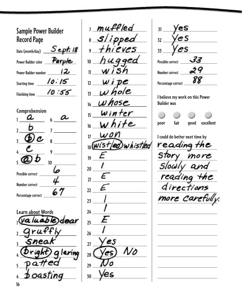| Sample Power Builder<br><b>Record Page</b>                                                        |
|---------------------------------------------------------------------------------------------------|
| Date (month/day) $\begin{array}{c} \begin{array}{c} \end{array} \mathcal{S} \end{array}$ e.pt. 18 |
| Power Builder color <b>Parple</b>                                                                 |
| - 2<br>Power Builder number                                                                       |
| 10:15<br>Starting time                                                                            |
| ئ∶ 0'<br>Finishing time                                                                           |
| Comprehension                                                                                     |
| Ī.<br>$6-$                                                                                        |
| $\overline{2}$                                                                                    |
| 8                                                                                                 |
|                                                                                                   |
| 10                                                                                                |
| Possible correct                                                                                  |
|                                                                                                   |
| Number correct                                                                                    |
| Percentage correct                                                                                |
| Learn about Words<br>aluable<br>$\overline{2}$<br>5                                               |
|                                                                                                   |

 $m$ uffled **789** s *Slipped* hieves  $\boldsymbol{q}$  $44$ 920 **10** wish **11**  $w$  i  $pe$ **12**  $which$ **13**  $whose$ **14** winter **15** white **16** won **17 18** *Wistled whistled* **19 20 21 22 23 24 25 26** es **27** N N **28 29** es **30**

yes **31** 'es **32** 'es **33** 33 **Po ssible correct** 29 **Number correct** 88 **Percentage correct I believe my work on this Power Builder was poor fair good excellent I could do better next time by** ding the rec Stoi more Sloulv anc reading directions more Car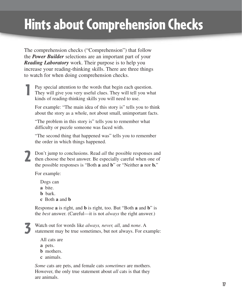# Hints about Comprehension Checks

The comprehension checks ("Comprehension") that follow the *Power Builder* selections are an important part of your *Reading Laboratory* work. Their purpose is to help you increase your reading-thinking skills. There are three things to watch for when doing comprehension checks.

Pay special attention to the words that begin each question. They will give you very useful clues. They will tell you what kinds of reading-thinking skills you will need to use.

For example: "The main idea of this story is" tells you to think about the story as a whole, not about small, unimportant facts.

"The problem in this story is" tells you to remember what difficulty or puzzle someone was faced with.

"The second thing that happened was" tells you to remember the order in which things happened.

**2** Don't jump to conclusions. Read *all* the possible responses and then choose the best answer. Be especially careful when one of the possible responses is "Poth a and h" or "Neither a por h" the possible responses is "Both **a** and **b**" or "Neither **a** nor **b.**"

For example:

- Dogs can **a** bite.
- **b** bark.
- **c** Both **a** and **b**

Response **a** is right, and **b** is right, too. But "Both **a** and **b**" is the *best* answer. (Careful—it is not *always* the right answer.)

3 Watch out for words like *always, never, all,* and *none*. A statement may be true sometimes, but not always. For example:

- All cats are
- **a** pets.
- **b** mothers.
- **c** animals.

*Some* cats are pets, and female cats *sometimes* are mothers. However, the only true statement about *all* cats is that they are animals.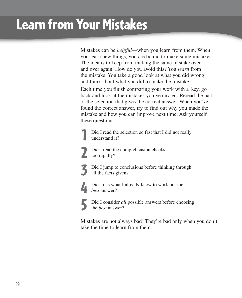# Learn from Your Mistakes

Mistakes can be *helpful*—when you learn from them. When you learn new things, you are bound to make some mistakes. The idea is to keep from making the same mistake over and over again. How do you avoid this? You *learn* from the mistake. You take a good look at what you did wrong and think about what you did to make the mistake.

Each time you finish comparing your work with a Key, go back and look at the mistakes you've circled. Reread the part of the selection that gives the correct answer. When you've found the correct answer, try to find out why you made the mistake and how you can improve next time. Ask yourself these questions:

Did I read the selection so fast that I did not really understand it?

Did I read the comprehension checks  $\blacksquare$  too rapidly?

Did I jump to conclusions before thinking through all the facts given?

Did I use what I already know to work out the *best* answer?

5 Did I consider *all* possible answers before choosing the *best* answer?

Mistakes are not always bad! They're bad only when you don't take the time to learn from them.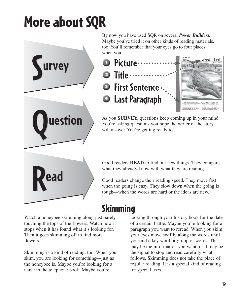# More about SQR



By now you have used SQR on several *Power Builders.* Maybe you've tried it on other kinds of reading materials, too. You'll remember that your eyes go to four places when you . . .



As you **SURVEY,** questions keep coming up in your mind. You're asking questions you hope the writer of the story will answer. You're getting ready to . . .



Good readers **READ** to find out new things. They compare what they already know with what they are reading.

Good readers change their reading speed. They move fast when the going is easy. They slow down when the going is tough—when the words are hard or the ideas are new.

# Skimming

Watch a honeybee skimming along just barely touching the tops of the flowers. Watch how it stops when it has found what it's looking for. Then it goes skimming off to find more flowers.

Skimming is a kind of reading, too. When you skim, you are looking for something—just as the honeybee is. Maybe you're looking for a name in the telephone book. Maybe you're

looking through your history book for the date of a certain battle. Maybe you're looking for a paragraph you want to reread. When you skim, your eyes move swiftly along the words until you find a key word or group of words. This may be the information you want, or it may be the signal to stop and read carefully what follows. Skimming does not take the place of regular reading. It is a special kind of reading for special uses.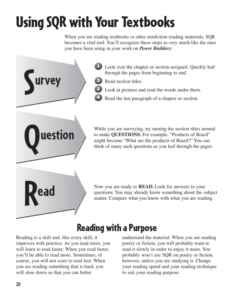# Using SQR with Your Textbooks

When you are reading textbooks or other nonfiction reading materials, SQR becomes a vital tool. You'll recognize these steps as very much like the ones you have been using in your work on *Power Builders:*



Look over the chapter or section assigned. Quickly leaf through the pages from beginning to end.

- Read section titles.
- Look at pictures and read the words under them.
- Read the last paragraph of a chapter or section.



While you are surveying, try turning the section titles around to make **QUESTIONS.** For example, "Products of Brazil" might become "What are the products of Brazil?" You can think of many such questions as you leaf through the pages.

Now you are ready to **READ.** Look for answers to your questions. You may already know something about the subject matter. Compare what you know with what you are reading.

# Reading with a Purpose

Reading is a skill and, like every skill, it improves with practice. As you read more, you will learn to read faster. When you read faster, you'll be able to read more. Sometimes, of course, you will not *want* to read fast. When you are reading something that is hard, you will slow down so that you can better

understand the material. When you are reading poetry or fiction, you will probably want to read it slowly in order to enjoy it more. You probably won't use SQR on poetry or fiction, however, unless you are studying it. Change your reading speed and your reading technique to suit your reading purpose.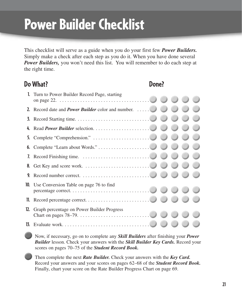# Power Builder Checklist

This checklist will serve as a guide when you do your first few *Power Builders.* Simply make a check after each step as you do it. When you have done several *Power Builders,* you won't need this list. You will remember to do each step at the right time.

#### **Do What? Done?**

| 1.  | Turn to Power Builder Record Page, starting            |  |  |
|-----|--------------------------------------------------------|--|--|
| 2.  | Record date and <i>Power Builder</i> color and number. |  |  |
| 5.  |                                                        |  |  |
| 4.  |                                                        |  |  |
| 5.  |                                                        |  |  |
| 6.  |                                                        |  |  |
| 7.  |                                                        |  |  |
| 8.  |                                                        |  |  |
| 9.  |                                                        |  |  |
|     | <b>10.</b> Use Conversion Table on page 76 to find     |  |  |
|     |                                                        |  |  |
|     | <b>12.</b> Graph percentage on Power Builder Progress  |  |  |
| 13. |                                                        |  |  |

Now, if necessary, go on to complete any *Skill Builders* after finishing your *Power Builder* lesson. Check your answers with the *Skill Builder Key Cards.* Record your scores on pages 70–75 of the *Student Record Book.*

Then complete the next *Rate Builder.* Check your answers with the *Key Card.* Record your answers and your scores on pages 62–68 of the *Student Record Book.* Finally, chart your score on the Rate Builder Progress Chart on page 69.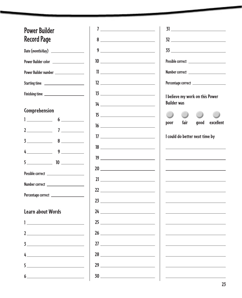### **Po wer Builder Record Page** Date (month/day) <u>\_\_\_\_\_\_\_\_\_\_\_\_\_\_\_\_\_\_</u> **Po wer Builder color Po wer Builder number Starting time Finishing time Comprehension**  $1 \longrightarrow 6 \longrightarrow$ **6789 12345**  $2 \sim 7$  $3 \sim 8 \sim$  $4 \sim 9 \sim$ **10Po ssible correct Number correct Percentage correct Learn about Words** 1 <u>- Alexander State (1980)</u> **123456**  $2 \overline{\phantom{a}}$  $\overline{3}$  $\frac{1}{2}$  $\begin{tabular}{c} 5 \end{tabular}$  $\epsilon$

| $7 \underline{\hspace{2cm}}$                                   |
|----------------------------------------------------------------|
|                                                                |
| $9 \overline{\phantom{a} \phantom{a} \phantom{a} \phantom{a}}$ |
|                                                                |
| $\mathbb{I}$ $\overline{\phantom{a}}$                          |
|                                                                |
|                                                                |
|                                                                |
|                                                                |
|                                                                |
| $\frac{17}{2}$                                                 |
|                                                                |
|                                                                |
|                                                                |
|                                                                |
|                                                                |
|                                                                |
|                                                                |
|                                                                |
|                                                                |
|                                                                |
| 27 $\overline{\phantom{a}}$                                    |
|                                                                |
|                                                                |
| $30 \qquad \qquad \overbrace{\qquad \qquad }$                  |

| $\begin{array}{c}\n31 \quad \text{---} \\ \hline\n\end{array}$ |        |                                 |                                                                                                                                                                                                                                                                                                                                                                                     |
|----------------------------------------------------------------|--------|---------------------------------|-------------------------------------------------------------------------------------------------------------------------------------------------------------------------------------------------------------------------------------------------------------------------------------------------------------------------------------------------------------------------------------|
|                                                                |        |                                 | $\begin{array}{c}\n 32 \end{array}$                                                                                                                                                                                                                                                                                                                                                 |
|                                                                |        |                                 | $\frac{33}{256}$                                                                                                                                                                                                                                                                                                                                                                    |
|                                                                |        |                                 |                                                                                                                                                                                                                                                                                                                                                                                     |
|                                                                |        |                                 | Number correct _____________________                                                                                                                                                                                                                                                                                                                                                |
|                                                                |        |                                 |                                                                                                                                                                                                                                                                                                                                                                                     |
| <b>Builder was</b>                                             |        | I believe my work on this Power |                                                                                                                                                                                                                                                                                                                                                                                     |
|                                                                | $\Box$ |                                 |                                                                                                                                                                                                                                                                                                                                                                                     |
| poor                                                           |        | fair good excellent             |                                                                                                                                                                                                                                                                                                                                                                                     |
|                                                                |        | I could do better next time by  |                                                                                                                                                                                                                                                                                                                                                                                     |
|                                                                |        |                                 |                                                                                                                                                                                                                                                                                                                                                                                     |
|                                                                |        |                                 |                                                                                                                                                                                                                                                                                                                                                                                     |
|                                                                |        |                                 |                                                                                                                                                                                                                                                                                                                                                                                     |
|                                                                |        |                                 |                                                                                                                                                                                                                                                                                                                                                                                     |
|                                                                |        |                                 | the control of the control of the control of the control of the control of<br>the control of the control of the control of the control of the control of<br>the control of the control of the control of the control of the control of<br>the control of the control of the control of the control of the control of<br>the control of the control of the control of the control of |
|                                                                |        |                                 |                                                                                                                                                                                                                                                                                                                                                                                     |
|                                                                |        |                                 |                                                                                                                                                                                                                                                                                                                                                                                     |
|                                                                |        |                                 |                                                                                                                                                                                                                                                                                                                                                                                     |
|                                                                |        |                                 |                                                                                                                                                                                                                                                                                                                                                                                     |
|                                                                |        |                                 |                                                                                                                                                                                                                                                                                                                                                                                     |
|                                                                |        |                                 |                                                                                                                                                                                                                                                                                                                                                                                     |
|                                                                |        |                                 |                                                                                                                                                                                                                                                                                                                                                                                     |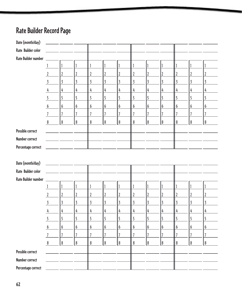## **Rate Builder Record Page**

| Date (month/day)           |                  |                |                         |                |                |                             |                         |   |         |                |                |   |
|----------------------------|------------------|----------------|-------------------------|----------------|----------------|-----------------------------|-------------------------|---|---------|----------------|----------------|---|
| Rate Builder color         |                  |                |                         |                |                |                             |                         |   |         |                |                |   |
| <b>Rate Builder number</b> |                  |                |                         |                |                |                             |                         |   |         |                |                |   |
|                            | -1               | 1              | $\mathbf{I}$            | 1              | 1              | 1                           | $\mathbf{I}$            | 1 | 1       | 1              | 1              | 1 |
|                            | $\overline{2}$   | $\mathfrak z$  | $\mathfrak z$           | $\overline{2}$ | 2              | 2                           | $\mathfrak z$           | 2 | 2       | $\mathfrak z$  | 2              | 2 |
|                            | $\overline{3}$   | $\sqrt{3}$     | $\overline{\mathbf{3}}$ | $\overline{3}$ | $\sqrt{3}$     | 3                           | $\overline{\mathbf{3}}$ | 3 | 3       | 3              | $\sqrt{3}$     | 3 |
|                            | 4                | 4              | 4                       | 4              | 4              | 4                           | 4                       | 4 | 4       | 4              | 4              | 4 |
|                            | 5                | 5              | 5                       | 5              | 5              | 5                           | 5                       | 5 | 5       | 5              | 5              | 5 |
|                            | 6                | 6              | 6                       | 6              | 6              | 6                           | $\boldsymbol{6}$        | 6 | 6       | 6              | 6              | 6 |
|                            | $\overline{1}$   | $\overline{1}$ | 7                       | $\overline{1}$ | $\overline{l}$ | 7                           | $\overline{1}$          | 7 | 7       | $\overline{1}$ | $\overline{1}$ | 7 |
|                            | $\, 8$           | $\bf 8$        | $\bf 8$                 | $\,8\,$        | $\sqrt{8}$     | $\boldsymbol{8}$            | $\bf 8$                 | 8 | $\bf 8$ | 8              | $\bf 8$        | 8 |
| Possible correct           |                  |                |                         |                |                |                             |                         |   |         |                |                |   |
| <b>Number correct</b>      |                  |                |                         |                |                |                             |                         |   |         |                |                |   |
| Percentage correct         |                  |                |                         |                |                |                             |                         |   |         |                |                |   |
|                            |                  |                |                         |                |                |                             |                         |   |         |                |                |   |
| Date (month/day)           |                  |                |                         |                |                |                             |                         |   |         |                |                |   |
| Rate Builder color         |                  |                |                         |                |                |                             |                         |   |         |                |                |   |
| Rate Builder number        |                  |                |                         |                |                |                             |                         |   |         |                |                |   |
|                            | -1               | 1              | 1                       | $\mathbf{I}$   | 1              | 1                           | $\mathbf{I}$            |   |         | 1              | 1              | 1 |
|                            | $\overline{2}$   | $\sqrt{2}$     | $\sqrt{2}$              | $\sqrt{2}$     | $\sqrt{2}$     | $\mathfrak z$               | $\sqrt{2}$              | 2 | 2       | $\mathfrak z$  | $\mathfrak z$  | 2 |
|                            | $\overline{3}$   | $\sqrt{3}$     | $\overline{3}$          | $\overline{3}$ | 3              | 3                           | $\overline{3}$          | 3 | 3       | $\overline{3}$ | $\mathfrak z$  | 3 |
|                            | 4                | 4              | 4                       | 4              | 4              | 4                           | 4                       | 4 | 4       | 4              | 4              | 4 |
|                            | 5                | 5              | 5                       | 5              | 5              | 5                           | 5                       | 5 | 5       | 5              | 5              | 5 |
|                            | $\boldsymbol{6}$ | 6              | $\boldsymbol{6}$        | 6              | 6              | 6                           | $\boldsymbol{6}$        | 6 | 6       | 6              | 6              | 6 |
|                            | $\overline{1}$   | $\overline{1}$ | 7                       | $\overline{1}$ | $\overline{l}$ | 7                           | $\overline{1}$          | 7 | 7       | $\overline{1}$ | 7              | 7 |
|                            | $\, 8$           | 8              | $\,8\,$                 | $\,8\,$        | $\sqrt{8}$     | $\overline{\boldsymbol{8}}$ | $\bf 8$                 | 8 | $\bf 8$ | 8              | 8              | 8 |
| Possible correct           |                  |                |                         |                |                |                             |                         |   |         |                |                |   |
| <b>Number correct</b>      |                  |                |                         |                |                |                             |                         |   |         |                |                |   |
| Percentage correct         |                  |                |                         |                |                |                             |                         |   |         |                |                |   |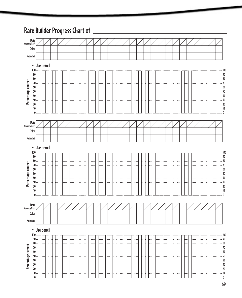### **Rate Builder Progress Chart of**

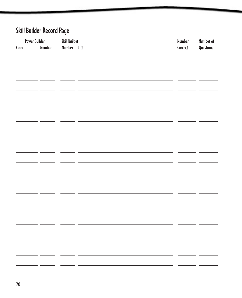## **Skill Builder Record Page**

| <b>Power Builder</b> |               | Skill Builder |                                                                                                            | <b>Number</b> | Number of |
|----------------------|---------------|---------------|------------------------------------------------------------------------------------------------------------|---------------|-----------|
| Color                | <b>Number</b> | Number Title  |                                                                                                            | Correct       | Questions |
|                      |               |               |                                                                                                            |               |           |
|                      |               |               |                                                                                                            |               |           |
|                      |               |               |                                                                                                            |               |           |
|                      |               |               |                                                                                                            |               |           |
|                      |               |               |                                                                                                            |               |           |
|                      |               |               |                                                                                                            |               |           |
|                      |               |               |                                                                                                            |               |           |
|                      |               |               |                                                                                                            |               |           |
|                      |               |               |                                                                                                            |               |           |
|                      |               |               |                                                                                                            |               |           |
|                      |               |               |                                                                                                            |               |           |
|                      |               |               |                                                                                                            |               |           |
|                      |               |               | <u> 222 - 222 - 222 - 222 - 222 - 222 - 222 - 222 - 222 - 222 - 222 - 222 - 222 - 222 - 222 - 222 - 22</u> |               |           |
|                      |               |               |                                                                                                            |               | $ -$      |
|                      |               |               |                                                                                                            |               |           |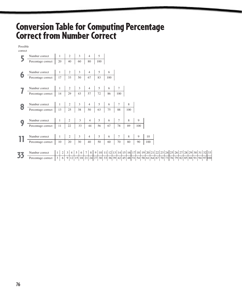# Conversion Table for Computing Percentage Correct from Number Correct

| Possible<br>correct |                    |                            |                                  |                    |                      |                |     |                |     |                                                                                                                                                                                                                  |     |  |    |  |  |  |                             |  |
|---------------------|--------------------|----------------------------|----------------------------------|--------------------|----------------------|----------------|-----|----------------|-----|------------------------------------------------------------------------------------------------------------------------------------------------------------------------------------------------------------------|-----|--|----|--|--|--|-----------------------------|--|
|                     | Number correct     | 1                          | $\overline{c}$                   | 3                  | $\overline{4}$       | 5              |     |                |     |                                                                                                                                                                                                                  |     |  |    |  |  |  |                             |  |
|                     | Percentage correct | 20                         | 40                               | 60                 | 80                   | 100            |     |                |     |                                                                                                                                                                                                                  |     |  |    |  |  |  |                             |  |
|                     | Number correct     | 1                          | $\overline{c}$                   | 3                  | 4                    | 5              | 6   |                |     |                                                                                                                                                                                                                  |     |  |    |  |  |  |                             |  |
| п                   | Percentage correct | 17                         | 33                               | 50                 | 67                   | 83             | 100 |                |     |                                                                                                                                                                                                                  |     |  |    |  |  |  |                             |  |
|                     | Number correct     | 1                          | $\overline{c}$                   | 3                  | $\overline{4}$       | 5              | 6   | 7              |     |                                                                                                                                                                                                                  |     |  |    |  |  |  |                             |  |
|                     | Percentage correct | 14                         | 29                               | 43                 | 57                   | 72             | 86  | 100            |     |                                                                                                                                                                                                                  |     |  |    |  |  |  |                             |  |
|                     | Number correct     | 1                          | $\overline{c}$                   | 3                  | 4                    | 5              | 6   | $\overline{7}$ | 8   |                                                                                                                                                                                                                  |     |  |    |  |  |  |                             |  |
|                     | Percentage correct | 13                         | 25                               | 38                 | 50                   | 63             | 75  | 88             | 100 |                                                                                                                                                                                                                  |     |  |    |  |  |  |                             |  |
|                     |                    |                            |                                  |                    |                      |                |     |                |     |                                                                                                                                                                                                                  |     |  |    |  |  |  |                             |  |
|                     | Number correct     | 1                          | 2                                | 3                  | $\overline{4}$       | 5              | 6   | $\tau$         | 8   | 9                                                                                                                                                                                                                |     |  |    |  |  |  |                             |  |
|                     | Percentage correct | 11                         | 22                               | 33                 | 44                   | 56             | 67  | 78             | 89  | 100                                                                                                                                                                                                              |     |  |    |  |  |  |                             |  |
|                     | Number correct     | 1                          | $\overline{c}$                   | 3                  | $\overline{4}$       | 5              | 6   | 7              | 8   | 9                                                                                                                                                                                                                | 10  |  |    |  |  |  |                             |  |
|                     | Percentage correct | 10                         | 20                               | 30                 | 40                   | 50             | 60  | 70             | 80  | 90                                                                                                                                                                                                               | 100 |  |    |  |  |  |                             |  |
|                     | Number correct     | $\sqrt{2}$<br>$\mathbf{1}$ | $\mathfrak{Z}$<br>$\overline{4}$ | $\mathfrak s$<br>6 | $7\phantom{.0}$<br>8 | $\overline{9}$ |     |                |     | $\left  10 \right  11 \left  12 \right  13 \left  14 \right  15 \left  16 \right  17 \left  18 \right  19 \left  20 \right  21 \left  22 \right  23 \left  24 \right  25 \left  26 \right  27 \left  28 \right $ |     |  |    |  |  |  | 29 30 31 32 33              |  |
|                     | Percentage correct | $\mathfrak{Z}$<br>6        | 9<br>12                          | 15<br>18 21        | 24                   | 27             |     |                |     | 30 33 36 39 42 45 48 51 54 58 61 64 67 70                                                                                                                                                                        |     |  | 73 |  |  |  | 76 79 82 85 88 91 94 97 100 |  |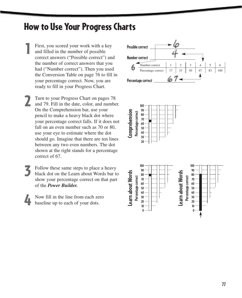### How to Use Your Progress Charts

- First, you scored your work with a key and filled in the number of possible correct answers ("Possible correct") and the number of correct answers that you had ("Number correct"). Then you used the Conversion Table on page 76 to fill in your percentage correct. Now, you are ready to fill in your Progress Chart.
- 2 Turn to your Progress Chart on pages 78 and 79. Fill in the date, color, and number. On the Comprehension bar, use your pencil to make a heavy black dot where your percentage correct falls. If it does not fall on an even number such as 70 or 80, use your eye to estimate where the dot should go. Imagine that there are ten lines between any two even numbers. The dot shown at the right stands for a percentage correct of 67.
- Follow these same steps to place a heavy black dot on the Learn about Words bar to show your percentage correct on that part of the *Power Builder.*
- 4 Now fill in the line from each zero baseline up to each of your dots.





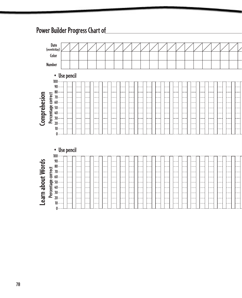**Power Builder Progress Chart of**

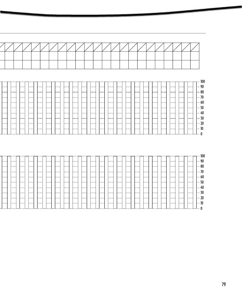| $\overline{\phantom{a}}$ |                 |                   |         |         |                |     |      |       |           |             |      |     |          |  |  |      |       |          |                  |
|--------------------------|-----------------|-------------------|---------|---------|----------------|-----|------|-------|-----------|-------------|------|-----|----------|--|--|------|-------|----------|------------------|
|                          |                 |                   |         |         |                |     |      |       |           |             |      |     |          |  |  |      |       |          |                  |
|                          |                 |                   |         |         |                |     |      |       |           |             |      |     |          |  |  |      |       |          |                  |
|                          |                 |                   |         |         |                |     |      |       |           |             |      |     |          |  |  |      |       |          |                  |
|                          |                 |                   |         |         |                |     |      |       |           |             |      |     |          |  |  |      |       |          | $-100$           |
|                          | ----<br>.       | $- - - -$<br> --- |         | $- - -$ | $\overline{a}$ | --- | ---- | ----  | $- - - -$ | ----<br>--- | ---  |     | ---<br>. |  |  | ---- | ----- | <br>---- | -- 90<br>$-80$   |
|                          | .               |                   |         |         |                |     |      |       |           |             |      |     |          |  |  |      |       | ----<br> | $-70$<br>$-60$   |
|                          | <br>$\sim$ $-$  | $- - -$           | .       |         |                |     |      |       |           | . .         |      |     | .        |  |  |      |       | ----     | $-50$            |
|                          | .<br>$\sim$ $-$ | $---$             | .       |         |                |     |      |       | .         | .           |      | --- |          |  |  |      | .     | <br>---- | $-40$<br>$-30$   |
|                          | .<br>.          | ----<br>.         |         |         |                |     | .    | $- -$ |           | $\cdots$    |      | .   |          |  |  |      | .     |          | $-20$            |
|                          |                 |                   |         |         |                |     |      |       |           |             |      |     |          |  |  |      |       | ----     | $-10$<br>- 0     |
|                          |                 |                   |         |         |                |     |      |       |           |             |      |     |          |  |  |      |       |          |                  |
|                          |                 |                   |         |         |                |     |      |       |           |             |      |     |          |  |  |      |       |          |                  |
|                          |                 |                   |         |         |                |     |      |       |           | .           |      |     |          |  |  |      |       |          | $100\,$<br>$-90$ |
|                          | ----<br>$- - -$ | ----              | $- - -$ |         |                |     | ---- |       |           |             | ---- |     | ---      |  |  | .    | .     | ----<br> | $-80$            |
|                          | ----<br>        | ----<br> ---      |         |         |                |     | ---- |       | ----      | ----        | ---- |     | ---      |  |  | ---- | ----- | <br>---- | $-70$<br>$-60$   |
|                          |                 |                   |         |         |                |     |      |       |           |             |      |     |          |  |  |      |       |          | $-50$            |
|                          | $\cdots$<br>    |                   |         |         |                |     |      |       |           | <br>        |      |     |          |  |  |      | .<br> | ----<br> | - 40<br>$-30$    |
|                          |                 |                   |         |         |                |     |      |       |           |             |      |     |          |  |  |      |       |          | $-20$            |

....  $\left| \ldots \right|$ 

...  $\left| \ldots \right|$   $\left| ... \right|$  $\mathbb{R}$ 

 $\mathbb{R}$ 

 $\Bigg|$ 

 $\left| \ldots \right|$ 

 $\left| \cdot \right|$ 

...